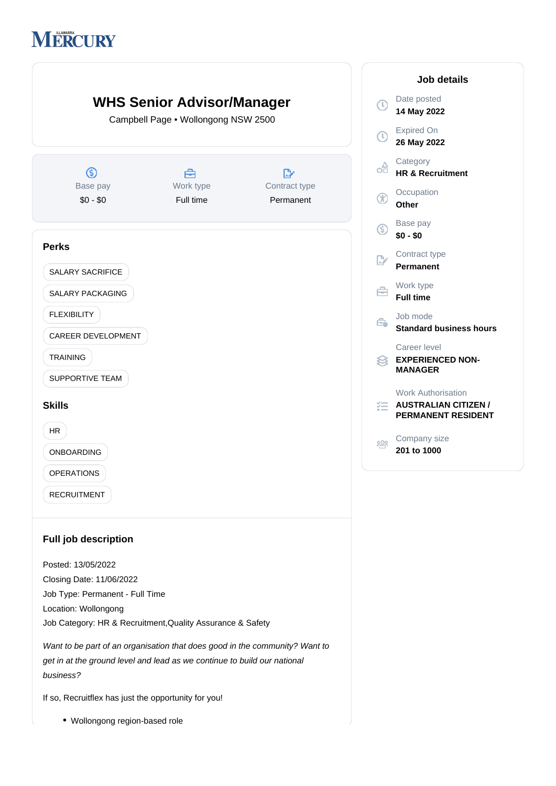# **MERCURY**



Closing Date: 11/06/2022 Job Type: Permanent - Full Time Location: Wollongong Job Category: HR & Recruitment,Quality Assurance & Safety

Want to be part of an organisation that does good in the community? Want to get in at the ground level and lead as we continue to build our national business?

If so, Recruitflex has just the opportunity for you!

Wollongong region-based role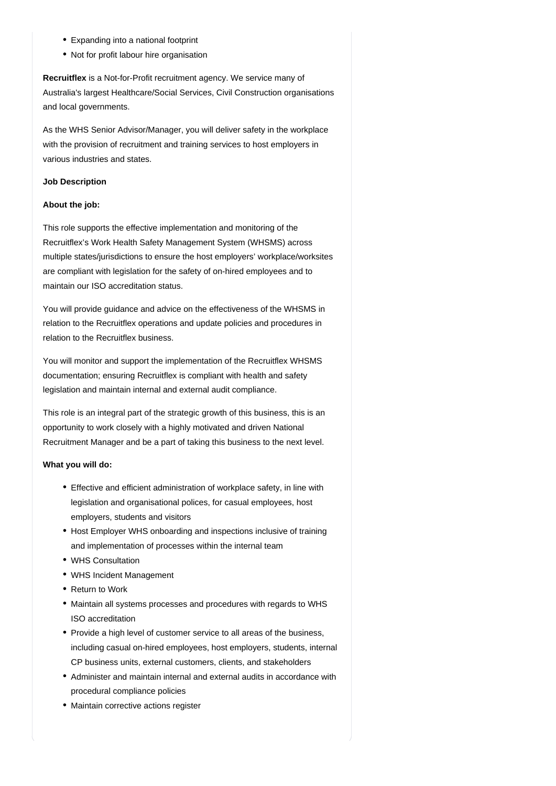- Expanding into a national footprint
- Not for profit labour hire organisation

Recruitflex is a Not-for-Profit recruitment agency. We service many of Australia's largest Healthcare/Social Services, Civil Construction organisations and local governments.

As the WHS Senior Advisor/Manager, you will deliver safety in the workplace with the provision of recruitment and training services to host employers in various industries and states.

# **Job Description**

#### **About the job:**

This role supports the effective implementation and monitoring of the Recruitflex's Work Health Safety Management System (WHSMS) across multiple states/jurisdictions to ensure the host employers' workplace/worksites are compliant with legislation for the safety of on-hired employees and to maintain our ISO accreditation status.

You will provide guidance and advice on the effectiveness of the WHSMS in relation to the Recruitflex operations and update policies and procedures in relation to the Recruitflex business.

You will monitor and support the implementation of the Recruitflex WHSMS documentation; ensuring Recruitflex is compliant with health and safety legislation and maintain internal and external audit compliance.

This role is an integral part of the strategic growth of this business, this is an opportunity to work closely with a highly motivated and driven National Recruitment Manager and be a part of taking this business to the next level.

#### **What you will do:**

- Effective and efficient administration of workplace safety, in line with legislation and organisational polices, for casual employees, host employers, students and visitors
- Host Employer WHS onboarding and inspections inclusive of training and implementation of processes within the internal team
- WHS Consultation
- WHS Incident Management
- Return to Work
- Maintain all systems processes and procedures with regards to WHS ISO accreditation
- Provide a high level of customer service to all areas of the business, including casual on-hired employees, host employers, students, internal CP business units, external customers, clients, and stakeholders
- Administer and maintain internal and external audits in accordance with procedural compliance policies
- Maintain corrective actions register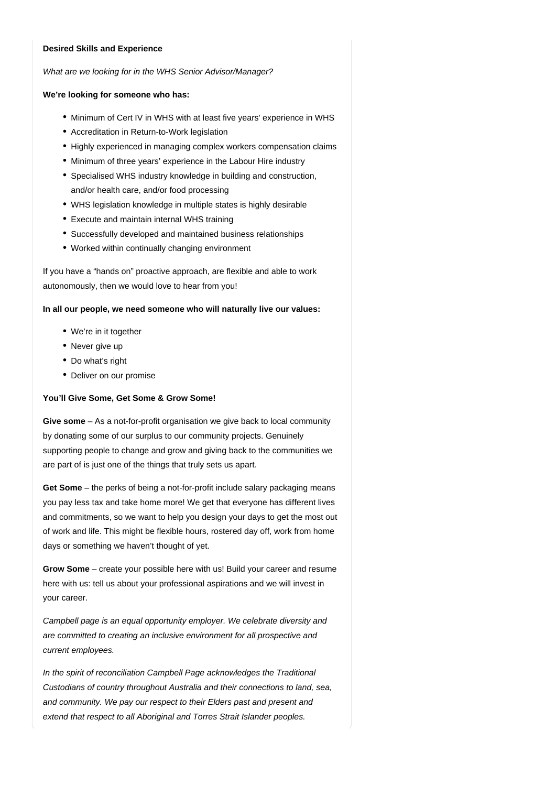### **Desired Skills and Experience**

What are we looking for in the WHS Senior Advisor/Manager?

## **We're looking for someone who has:**

- Minimum of Cert IV in WHS with at least five years' experience in WHS
- Accreditation in Return-to-Work legislation
- Highly experienced in managing complex workers compensation claims
- Minimum of three years' experience in the Labour Hire industry
- Specialised WHS industry knowledge in building and construction, and/or health care, and/or food processing
- WHS legislation knowledge in multiple states is highly desirable
- Execute and maintain internal WHS training
- Successfully developed and maintained business relationships
- Worked within continually changing environment

If you have a "hands on" proactive approach, are flexible and able to work autonomously, then we would love to hear from you!

## **In all our people, we need someone who will naturally live our values:**

- We're in it together
- Never give up
- Do what's right
- Deliver on our promise

### **You'll Give Some, Get Some & Grow Some!**

Give some - As a not-for-profit organisation we give back to local community by donating some of our surplus to our community projects. Genuinely supporting people to change and grow and giving back to the communities we are part of is just one of the things that truly sets us apart.

Get Some – the perks of being a not-for-profit include salary packaging means you pay less tax and take home more! We get that everyone has different lives and commitments, so we want to help you design your days to get the most out of work and life. This might be flexible hours, rostered day off, work from home days or something we haven't thought of yet.

Grow Some – create your possible here with us! Build your career and resume here with us: tell us about your professional aspirations and we will invest in your career.

Campbell page is an equal opportunity employer. We celebrate diversity and are committed to creating an inclusive environment for all prospective and current employees.

In the spirit of reconciliation Campbell Page acknowledges the Traditional Custodians of country throughout Australia and their connections to land, sea, and community. We pay our respect to their Elders past and present and extend that respect to all Aboriginal and Torres Strait Islander peoples.